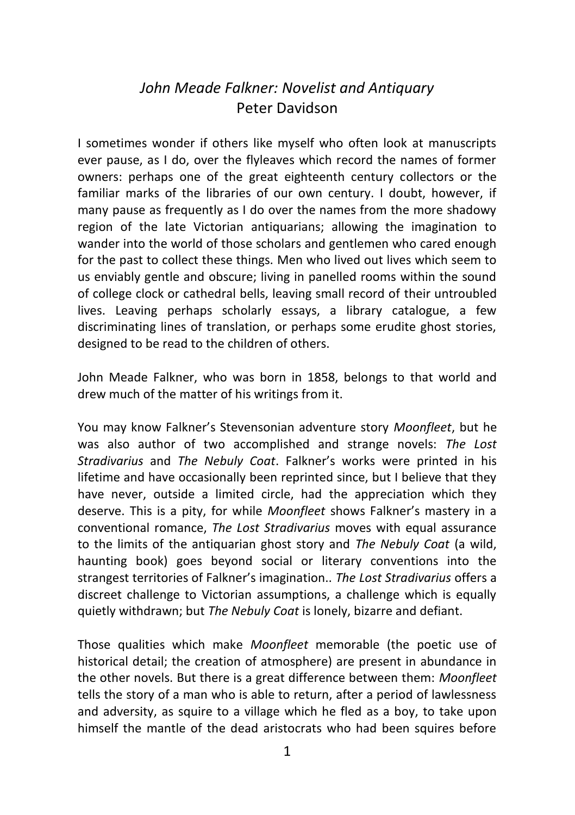## *John Meade Falkner: Novelist and Antiquary* Peter Davidson

I sometimes wonder if others like myself who often look at manuscripts ever pause, as I do, over the flyleaves which record the names of former owners: perhaps one of the great eighteenth century collectors or the familiar marks of the libraries of our own century. I doubt, however, if many pause as frequently as I do over the names from the more shadowy region of the late Victorian antiquarians; allowing the imagination to wander into the world of those scholars and gentlemen who cared enough for the past to collect these things. Men who lived out lives which seem to us enviably gentle and obscure; living in panelled rooms within the sound of college clock or cathedral bells, leaving small record of their untroubled lives. Leaving perhaps scholarly essays, a library catalogue, a few discriminating lines of translation, or perhaps some erudite ghost stories, designed to be read to the children of others.

John Meade Falkner, who was born in 1858, belongs to that world and drew much of the matter of his writings from it.

You may know Falkner's Stevensonian adventure story *Moonfleet*, but he was also author of two accomplished and strange novels: *The Lost Stradivarius* and *The Nebuly Coat*. Falkner's works were printed in his lifetime and have occasionally been reprinted since, but I believe that they have never, outside a limited circle, had the appreciation which they deserve. This is a pity, for while *Moonfleet* shows Falkner's mastery in a conventional romance, *The Lost Stradivarius* moves with equal assurance to the limits of the antiquarian ghost story and *The Nebuly Coat* (a wild, haunting book) goes beyond social or literary conventions into the strangest territories of Falkner's imagination.. *The Lost Stradivarius* offers a discreet challenge to Victorian assumptions, a challenge which is equally quietly withdrawn; but *The Nebuly Coat* is lonely, bizarre and defiant.

Those qualities which make *Moonfleet* memorable (the poetic use of historical detail; the creation of atmosphere) are present in abundance in the other novels. But there is a great difference between them: *Moonfleet* tells the story of a man who is able to return, after a period of lawlessness and adversity, as squire to a village which he fled as a boy, to take upon himself the mantle of the dead aristocrats who had been squires before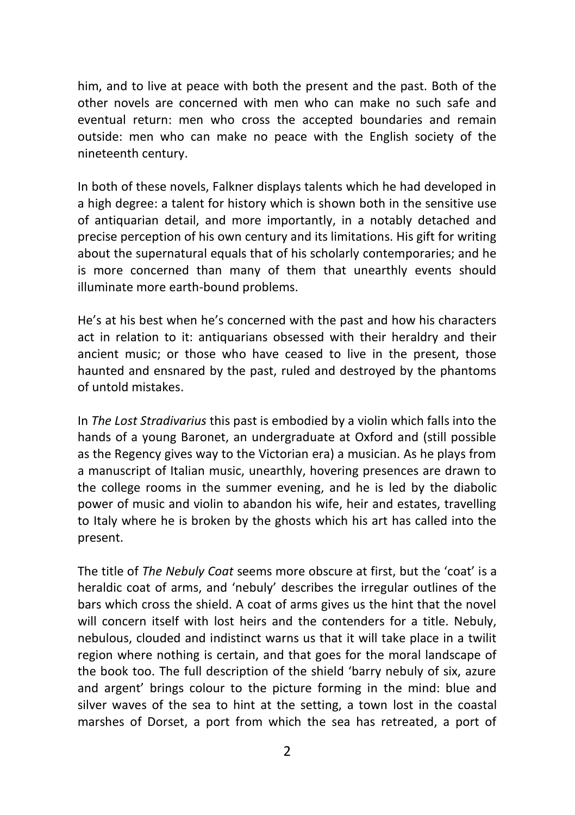him, and to live at peace with both the present and the past. Both of the other novels are concerned with men who can make no such safe and eventual return: men who cross the accepted boundaries and remain outside: men who can make no peace with the English society of the nineteenth century.

In both of these novels, Falkner displays talents which he had developed in a high degree: a talent for history which is shown both in the sensitive use of antiquarian detail, and more importantly, in a notably detached and precise perception of his own century and its limitations. His gift for writing about the supernatural equals that of his scholarly contemporaries; and he is more concerned than many of them that unearthly events should illuminate more earth-bound problems.

He's at his best when he's concerned with the past and how his characters act in relation to it: antiquarians obsessed with their heraldry and their ancient music; or those who have ceased to live in the present, those haunted and ensnared by the past, ruled and destroyed by the phantoms of untold mistakes.

In *The Lost Stradivarius* this past is embodied by a violin which falls into the hands of a young Baronet, an undergraduate at Oxford and (still possible as the Regency gives way to the Victorian era) a musician. As he plays from a manuscript of Italian music, unearthly, hovering presences are drawn to the college rooms in the summer evening, and he is led by the diabolic power of music and violin to abandon his wife, heir and estates, travelling to Italy where he is broken by the ghosts which his art has called into the present.

The title of *The Nebuly Coat* seems more obscure at first, but the 'coat' is a heraldic coat of arms, and 'nebuly' describes the irregular outlines of the bars which cross the shield. A coat of arms gives us the hint that the novel will concern itself with lost heirs and the contenders for a title. Nebuly, nebulous, clouded and indistinct warns us that it will take place in a twilit region where nothing is certain, and that goes for the moral landscape of the book too. The full description of the shield 'barry nebuly of six, azure and argent' brings colour to the picture forming in the mind: blue and silver waves of the sea to hint at the setting, a town lost in the coastal marshes of Dorset, a port from which the sea has retreated, a port of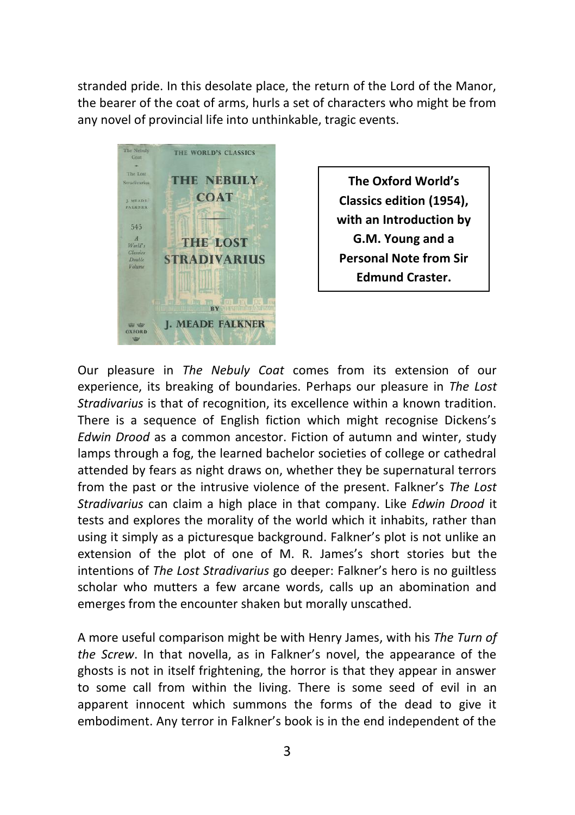stranded pride. In this desolate place, the return of the Lord of the Manor, the bearer of the coat of arms, hurls a set of characters who might be from any novel of provincial life into unthinkable, tragic events.



**The Oxford World's Classics edition (1954), with an Introduction by G.M. Young and a Personal Note from Sir Edmund Craster.**

Our pleasure in *The Nebuly Coat* comes from its extension of our experience, its breaking of boundaries. Perhaps our pleasure in *The Lost Stradivarius* is that of recognition, its excellence within a known tradition. There is a sequence of English fiction which might recognise Dickens's *Edwin Drood* as a common ancestor. Fiction of autumn and winter, study lamps through a fog, the learned bachelor societies of college or cathedral attended by fears as night draws on, whether they be supernatural terrors from the past or the intrusive violence of the present. Falkner's *The Lost Stradivarius* can claim a high place in that company. Like *Edwin Drood* it tests and explores the morality of the world which it inhabits, rather than using it simply as a picturesque background. Falkner's plot is not unlike an extension of the plot of one of M. R. James's short stories but the intentions of *The Lost Stradivarius* go deeper: Falkner's hero is no guiltless scholar who mutters a few arcane words, calls up an abomination and emerges from the encounter shaken but morally unscathed.

A more useful comparison might be with Henry James, with his *The Turn of the Screw*. In that novella, as in Falkner's novel, the appearance of the ghosts is not in itself frightening, the horror is that they appear in answer to some call from within the living. There is some seed of evil in an apparent innocent which summons the forms of the dead to give it embodiment. Any terror in Falkner's book is in the end independent of the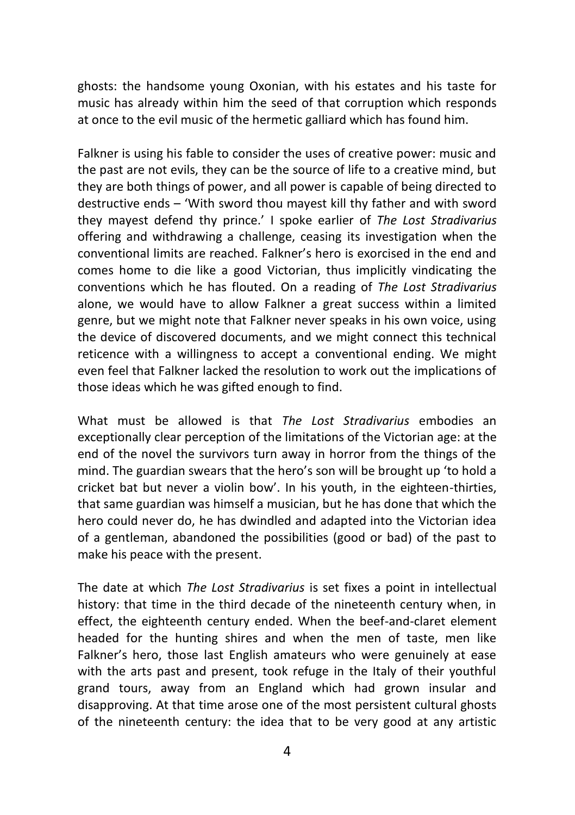ghosts: the handsome young Oxonian, with his estates and his taste for music has already within him the seed of that corruption which responds at once to the evil music of the hermetic galliard which has found him.

Falkner is using his fable to consider the uses of creative power: music and the past are not evils, they can be the source of life to a creative mind, but they are both things of power, and all power is capable of being directed to destructive ends – 'With sword thou mayest kill thy father and with sword they mayest defend thy prince.' I spoke earlier of *The Lost Stradivarius* offering and withdrawing a challenge, ceasing its investigation when the conventional limits are reached. Falkner's hero is exorcised in the end and comes home to die like a good Victorian, thus implicitly vindicating the conventions which he has flouted. On a reading of *The Lost Stradivarius* alone, we would have to allow Falkner a great success within a limited genre, but we might note that Falkner never speaks in his own voice, using the device of discovered documents, and we might connect this technical reticence with a willingness to accept a conventional ending. We might even feel that Falkner lacked the resolution to work out the implications of those ideas which he was gifted enough to find.

What must be allowed is that *The Lost Stradivarius* embodies an exceptionally clear perception of the limitations of the Victorian age: at the end of the novel the survivors turn away in horror from the things of the mind. The guardian swears that the hero's son will be brought up 'to hold a cricket bat but never a violin bow'. In his youth, in the eighteen-thirties, that same guardian was himself a musician, but he has done that which the hero could never do, he has dwindled and adapted into the Victorian idea of a gentleman, abandoned the possibilities (good or bad) of the past to make his peace with the present.

The date at which *The Lost Stradivarius* is set fixes a point in intellectual history: that time in the third decade of the nineteenth century when, in effect, the eighteenth century ended. When the beef-and-claret element headed for the hunting shires and when the men of taste, men like Falkner's hero, those last English amateurs who were genuinely at ease with the arts past and present, took refuge in the Italy of their youthful grand tours, away from an England which had grown insular and disapproving. At that time arose one of the most persistent cultural ghosts of the nineteenth century: the idea that to be very good at any artistic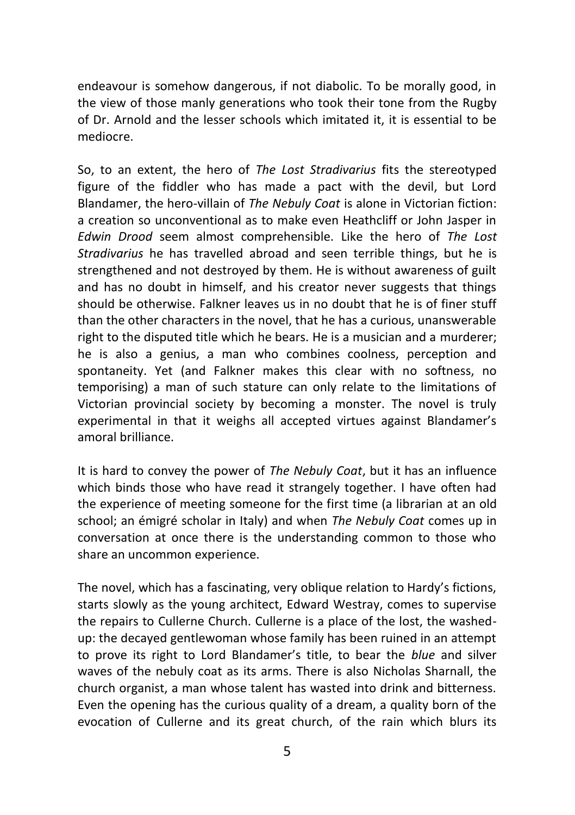endeavour is somehow dangerous, if not diabolic. To be morally good, in the view of those manly generations who took their tone from the Rugby of Dr. Arnold and the lesser schools which imitated it, it is essential to be mediocre.

So, to an extent, the hero of *The Lost Stradivarius* fits the stereotyped figure of the fiddler who has made a pact with the devil, but Lord Blandamer, the hero-villain of *The Nebuly Coat* is alone in Victorian fiction: a creation so unconventional as to make even Heathcliff or John Jasper in *Edwin Drood* seem almost comprehensible. Like the hero of *The Lost Stradivarius* he has travelled abroad and seen terrible things, but he is strengthened and not destroyed by them. He is without awareness of guilt and has no doubt in himself, and his creator never suggests that things should be otherwise. Falkner leaves us in no doubt that he is of finer stuff than the other characters in the novel, that he has a curious, unanswerable right to the disputed title which he bears. He is a musician and a murderer; he is also a genius, a man who combines coolness, perception and spontaneity. Yet (and Falkner makes this clear with no softness, no temporising) a man of such stature can only relate to the limitations of Victorian provincial society by becoming a monster. The novel is truly experimental in that it weighs all accepted virtues against Blandamer's amoral brilliance.

It is hard to convey the power of *The Nebuly Coat*, but it has an influence which binds those who have read it strangely together. I have often had the experience of meeting someone for the first time (a librarian at an old school; an émigré scholar in Italy) and when *The Nebuly Coat* comes up in conversation at once there is the understanding common to those who share an uncommon experience.

The novel, which has a fascinating, very oblique relation to Hardy's fictions, starts slowly as the young architect, Edward Westray, comes to supervise the repairs to Cullerne Church. Cullerne is a place of the lost, the washedup: the decayed gentlewoman whose family has been ruined in an attempt to prove its right to Lord Blandamer's title, to bear the *blue* and silver waves of the nebuly coat as its arms. There is also Nicholas Sharnall, the church organist, a man whose talent has wasted into drink and bitterness. Even the opening has the curious quality of a dream, a quality born of the evocation of Cullerne and its great church, of the rain which blurs its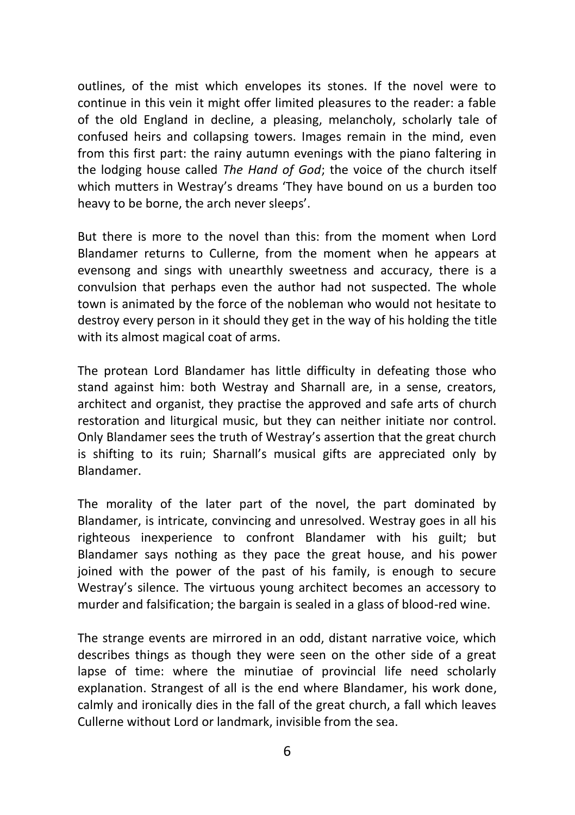outlines, of the mist which envelopes its stones. If the novel were to continue in this vein it might offer limited pleasures to the reader: a fable of the old England in decline, a pleasing, melancholy, scholarly tale of confused heirs and collapsing towers. Images remain in the mind, even from this first part: the rainy autumn evenings with the piano faltering in the lodging house called *The Hand of God*; the voice of the church itself which mutters in Westray's dreams 'They have bound on us a burden too heavy to be borne, the arch never sleeps'.

But there is more to the novel than this: from the moment when Lord Blandamer returns to Cullerne, from the moment when he appears at evensong and sings with unearthly sweetness and accuracy, there is a convulsion that perhaps even the author had not suspected. The whole town is animated by the force of the nobleman who would not hesitate to destroy every person in it should they get in the way of his holding the title with its almost magical coat of arms.

The protean Lord Blandamer has little difficulty in defeating those who stand against him: both Westray and Sharnall are, in a sense, creators, architect and organist, they practise the approved and safe arts of church restoration and liturgical music, but they can neither initiate nor control. Only Blandamer sees the truth of Westray's assertion that the great church is shifting to its ruin; Sharnall's musical gifts are appreciated only by Blandamer.

The morality of the later part of the novel, the part dominated by Blandamer, is intricate, convincing and unresolved. Westray goes in all his righteous inexperience to confront Blandamer with his guilt; but Blandamer says nothing as they pace the great house, and his power joined with the power of the past of his family, is enough to secure Westray's silence. The virtuous young architect becomes an accessory to murder and falsification; the bargain is sealed in a glass of blood-red wine.

The strange events are mirrored in an odd, distant narrative voice, which describes things as though they were seen on the other side of a great lapse of time: where the minutiae of provincial life need scholarly explanation. Strangest of all is the end where Blandamer, his work done, calmly and ironically dies in the fall of the great church, a fall which leaves Cullerne without Lord or landmark, invisible from the sea.